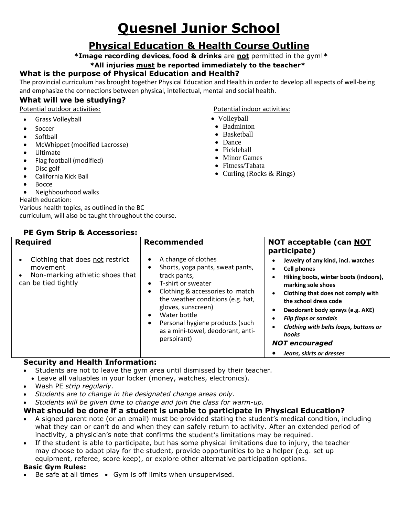# **Quesnel Junior School**

### **Physical Education & Health Course Outline**

**\*Image recording devices, food & drinks** are **not** permitted in the gym!**\***

#### **\*All injuries must be reported immediately to the teacher\***

#### **What is the purpose of Physical Education and Health?**

The provincial curriculum has brought together Physical Education and Health in order to develop all aspects of well-being and emphasize the connections between physical, intellectual, mental and social health.

#### **What will we be studying?**

Potential outdoor activities: Potential indoor activities:

- Grass Volleyball
- Soccer
- Softball
- McWhippet (modified Lacrosse)
- Ultimate
- Flag football (modified)
- Disc golf
- California Kick Ball
- Bocce
- Neighbourhood walks

#### Health education:

Various health topics, as outlined in the BC curriculum, will also be taught throughout the course.

**PE Gym Strip & Accessories: Required Recommended NOT acceptable (can NOT participate)** • Clothing that does not restrict movement • Non-marking athletic shoes that can be tied tightly A change of clothes Shorts, yoga pants, sweat pants, track pants, T-shirt or sweater • Clothing & accessories to match the weather conditions (e.g. hat, gloves, sunscreen) Water bottle • Personal hygiene products (such as a mini-towel, deodorant, antiperspirant) **Jewelry of any kind, incl. watches Cell phones Hiking boots, winter boots (indoors), marking sole shoes Clothing that does not comply with the school dress code Deodorant body sprays (e.g. AXE)** *Flip flops or sandals Clothing with belts loops, buttons or hooks NOT encouraged*

#### **Security and Health Information:**

- Students are not to leave the gym area until dismissed by their teacher.
- Leave all valuables in your locker (money, watches, electronics).
- Wash PE *strip regularly.*
- *Students are to change in the designated change areas only.*
- *Students will be given time to change and join the class for warm-up.*

#### **What should be done if a student is unable to participate in Physical Education?**

- A signed parent note (or an email) must be provided stating the student's medical condition, including what they can or can't do and when they can safely return to activity. After an extended period of inactivity, a physician's note that confirms the student's limitations may be required.
- If the student is able to participate, but has some physical limitations due to injury, the teacher may choose to adapt play for the student, provide opportunities to be a helper (e.g. set up equipment, referee, score keep), or explore other alternative participation options.

#### **Basic Gym Rules:**

• Be safe at all times • Gym is off limits when unsupervised.

- 
- Volleyball
- Badminton
- Basketball
- Dance
- Pickleball
- Minor Games
- Fitness/Tabata
- Curling (Rocks  $& Rings$ )

*Jeans, skirts or dresses*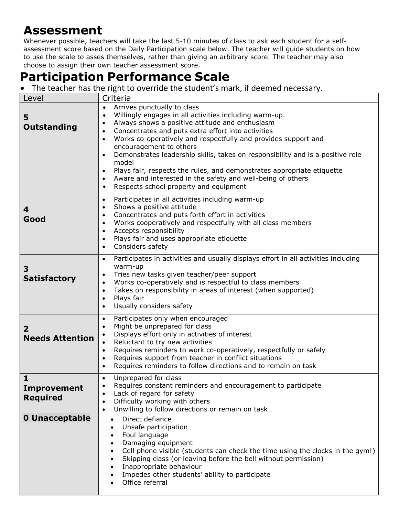### **Assessment**

Whenever possible, teachers will take the last 5-10 minutes of class to ask each student for a selfassessment score based on the Daily Participation scale below. The teacher will guide students on how to use the scale to asses themselves, rather than giving an arbitrary score. The teacher may also choose to assign their own teacher assessment score.

## **Participation Performance Scale**

• The teacher has the right to override the student's mark, if deemed necessary.

| Level                                                 | Criteria                                                                                                                                                                                                                                                                                                                                                                                                                                                                                                                                                                                                                                                                          |
|-------------------------------------------------------|-----------------------------------------------------------------------------------------------------------------------------------------------------------------------------------------------------------------------------------------------------------------------------------------------------------------------------------------------------------------------------------------------------------------------------------------------------------------------------------------------------------------------------------------------------------------------------------------------------------------------------------------------------------------------------------|
| 5<br><b>Outstanding</b>                               | Arrives punctually to class<br>$\bullet$<br>Willingly engages in all activities including warm-up.<br>$\bullet$<br>Always shows a positive attitude and enthusiasm<br>$\bullet$<br>Concentrates and puts extra effort into activities<br>$\bullet$<br>Works co-operatively and respectfully and provides support and<br>$\bullet$<br>encouragement to others<br>Demonstrates leadership skills, takes on responsibility and is a positive role<br>$\bullet$<br>model<br>Plays fair, respects the rules, and demonstrates appropriate etiquette<br>$\bullet$<br>Aware and interested in the safety and well-being of others<br>$\bullet$<br>Respects school property and equipment |
| 4<br>Good                                             | Participates in all activities including warm-up<br>$\bullet$<br>Shows a positive attitude<br>$\bullet$<br>Concentrates and puts forth effort in activities<br>$\bullet$<br>Works cooperatively and respectfully with all class members<br>$\bullet$<br>Accepts responsibility<br>$\bullet$<br>Plays fair and uses appropriate etiquette<br>$\bullet$<br>Considers safety<br>$\bullet$                                                                                                                                                                                                                                                                                            |
| 3<br><b>Satisfactory</b>                              | Participates in activities and usually displays effort in all activities including<br>$\bullet$<br>warm-up<br>Tries new tasks given teacher/peer support<br>$\bullet$<br>Works co-operatively and is respectful to class members<br>$\bullet$<br>Takes on responsibility in areas of interest (when supported)<br>$\bullet$<br>Plays fair<br>$\bullet$<br>Usually considers safety<br>$\bullet$                                                                                                                                                                                                                                                                                   |
| $\overline{2}$<br><b>Needs Attention</b>              | Participates only when encouraged<br>$\bullet$<br>Might be unprepared for class<br>$\bullet$<br>Displays effort only in activities of interest<br>Reluctant to try new activities<br>Requires reminders to work co-operatively, respectfully or safely<br>$\bullet$<br>Requires support from teacher in conflict situations<br>$\bullet$<br>Requires reminders to follow directions and to remain on task<br>$\bullet$                                                                                                                                                                                                                                                            |
| $\mathbf{1}$<br><b>Improvement</b><br><b>Required</b> | Unprepared for class<br>Requires constant reminders and encouragement to participate<br>Lack of regard for safety<br>Difficulty working with others<br>$\bullet$<br>Unwilling to follow directions or remain on task<br>$\bullet$                                                                                                                                                                                                                                                                                                                                                                                                                                                 |
| <b>0 Unacceptable</b>                                 | Direct defiance<br>$\bullet$<br>Unsafe participation<br>$\bullet$<br>Foul language<br>$\bullet$<br>Damaging equipment<br>$\bullet$<br>Cell phone visible (students can check the time using the clocks in the gym!)<br>$\bullet$<br>Skipping class (or leaving before the bell without permission)<br>$\bullet$<br>Inappropriate behaviour<br>Impedes other students' ability to participate<br>$\bullet$<br>Office referral                                                                                                                                                                                                                                                      |